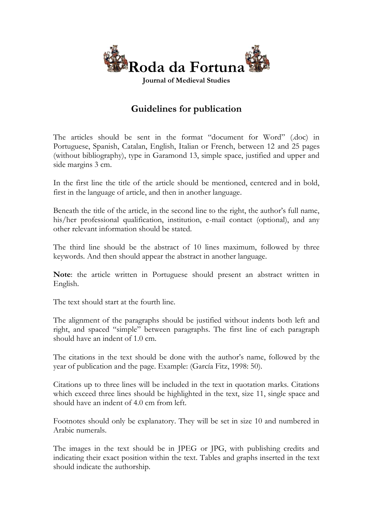

# **Guidelines for publication**

The articles should be sent in the format "document for Word" (.doc) in Portuguese, Spanish, Catalan, English, Italian or French, between 12 and 25 pages (without bibliography), type in Garamond 13, simple space, justified and upper and side margins 3 cm.

In the first line the title of the article should be mentioned, centered and in bold, first in the language of article, and then in another language.

Beneath the title of the article, in the second line to the right, the author's full name, his/her professional qualification, institution, e-mail contact (optional), and any other relevant information should be stated.

The third line should be the abstract of 10 lines maximum, followed by three keywords. And then should appear the abstract in another language.

**Note**: the article written in Portuguese should present an abstract written in English.

The text should start at the fourth line.

The alignment of the paragraphs should be justified without indents both left and right, and spaced "simple" between paragraphs. The first line of each paragraph should have an indent of 1.0 cm.

The citations in the text should be done with the author's name, followed by the year of publication and the page. Example: (García Fitz, 1998: 50).

Citations up to three lines will be included in the text in quotation marks. Citations which exceed three lines should be highlighted in the text, size 11, single space and should have an indent of 4.0 cm from left.

Footnotes should only be explanatory. They will be set in size 10 and numbered in Arabic numerals.

The images in the text should be in JPEG or JPG, with publishing credits and indicating their exact position within the text. Tables and graphs inserted in the text should indicate the authorship.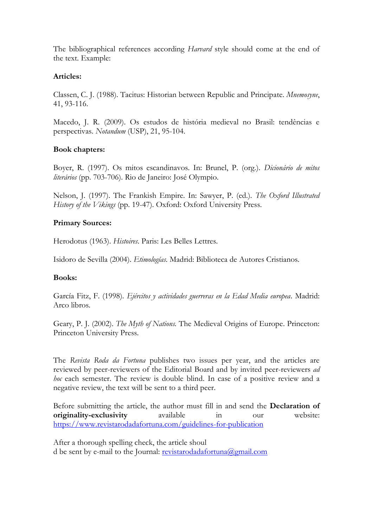The bibliographical references according *Harvard* style should come at the end of the text. Example:

## **Articles:**

Classen, C. J. (1988). Tacitus: Historian between Republic and Principate. *Mnemosyne*, 41, 93-116.

Macedo, J. R. (2009). Os estudos de história medieval no Brasil: tendências e perspectivas. *Notandum* (USP), 21, 95-104.

## **Book chapters:**

Boyer, R. (1997). Os mitos escandinavos. In: Brunel, P. (org.). *Dicionário de mitos literários* (pp. 703-706). Rio de Janeiro: José Olympio.

Nelson, J. (1997). The Frankish Empire. In: Sawyer, P. (ed.). *The Oxford Illustrated History of the Vikings* (pp. 19-47). Oxford: Oxford University Press.

### **Primary Sources:**

Herodotus (1963). *Histoires*. Paris: Les Belles Lettres.

Isidoro de Sevilla (2004). *Etimologías*. Madrid: Biblioteca de Autores Cristianos.

### **Books:**

García Fitz, F. (1998). *Ejércitos y actividades guerreras en la Edad Media europea*. Madrid: Arco libros.

Geary, P. J. (2002). *The Myth of Nations.* The Medieval Origins of Europe. Princeton: Princeton University Press.

The *Revista Roda da Fortuna* publishes two issues per year, and the articles are reviewed by peer-reviewers of the Editorial Board and by invited peer-reviewers *ad hoc* each semester. The review is double blind. In case of a positive review and a negative review, the text will be sent to a third peer.

Before submitting the article, the author must fill in and send the **Declaration of originality-exclusivity** available in our website: <https://www.revistarodadafortuna.com/guidelines-for-publication>

After a thorough spelling check, the article shoul d be sent by e-mail to the Journal: [revistarodadafortuna@gmail.com](mailto:revistarodadafortuna@gmail.com)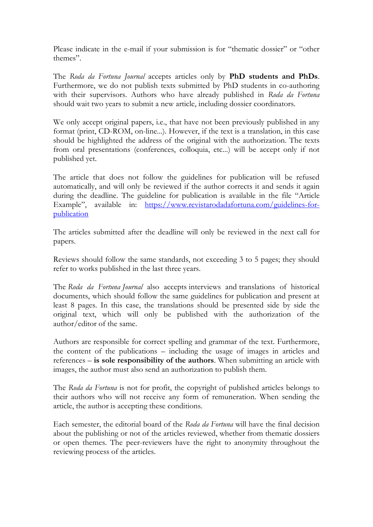Please indicate in the e-mail if your submission is for "thematic dossier" or "other themes".

The *Roda da Fortuna Journal* accepts articles only by **PhD students and PhDs**. Furthermore, we do not publish texts submitted by PhD students in co-authoring with their supervisors. Authors who have already published in *Roda da Fortuna* should wait two years to submit a new article, including dossier coordinators.

We only accept original papers, i.e., that have not been previously published in any format (print, CD-ROM, on-line...). However, if the text is a translation, in this case should be highlighted the address of the original with the authorization. The texts from oral presentations (conferences, colloquia, etc...) will be accept only if not published yet.

The article that does not follow the guidelines for publication will be refused automatically, and will only be reviewed if the author corrects it and sends it again during the deadline. The guideline for publication is available in the file "Article Example", available in: [https://www.revistarodadafortuna.com/guidelines-for](https://www.revistarodadafortuna.com/guidelines-for-publication)[publication](https://www.revistarodadafortuna.com/guidelines-for-publication)

The articles submitted after the deadline will only be reviewed in the next call for papers.

Reviews should follow the same standards, not exceeding 3 to 5 pages; they should refer to works published in the last three years.

The *Roda da Fortuna Journal* also accepts interviews and translations of historical documents, which should follow the same guidelines for publication and present at least 8 pages. In this case, the translations should be presented side by side the original text, which will only be published with the authorization of the author/editor of the same.

Authors are responsible for correct spelling and grammar of the text. Furthermore, the content of the publications – including the usage of images in articles and references – **is sole responsibility of the authors**. When submitting an article with images, the author must also send an authorization to publish them.

The *Roda da Fortuna* is not for profit, the copyright of published articles belongs to their authors who will not receive any form of remuneration. When sending the article, the author is accepting these conditions.

Each semester, the editorial board of the *Roda da Fortuna* will have the final decision about the publishing or not of the articles reviewed, whether from thematic dossiers or open themes. The peer-reviewers have the right to anonymity throughout the reviewing process of the articles.